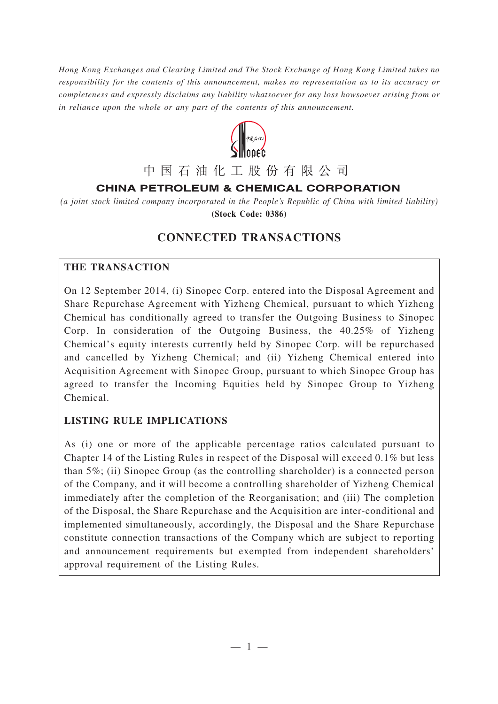*Hong Kong Exchanges and Clearing Limited and The Stock Exchange of Hong Kong Limited takes no responsibility for the contents of this announcement, makes no representation as to its accuracy or completeness and expressly disclaims any liability whatsoever for any loss howsoever arising from or in reliance upon the whole or any part of the contents of this announcement.*



# 中国石油化工股份有限公司

# **CHINA PETROLEUM & CHEMICAL CORPORATION**

*(a joint stock limited company incorporated in the People's Republic of China with limited liability)* **(Stock Code: 0386)**

# **CONNECTED TRANSACTIONS**

## **THE TRANSACTION**

On 12 September 2014, (i) Sinopec Corp. entered into the Disposal Agreement and Share Repurchase Agreement with Yizheng Chemical, pursuant to which Yizheng Chemical has conditionally agreed to transfer the Outgoing Business to Sinopec Corp. In consideration of the Outgoing Business, the 40.25% of Yizheng Chemical's equity interests currently held by Sinopec Corp. will be repurchased and cancelled by Yizheng Chemical; and (ii) Yizheng Chemical entered into Acquisition Agreement with Sinopec Group, pursuant to which Sinopec Group has agreed to transfer the Incoming Equities held by Sinopec Group to Yizheng Chemical.

## **LISTING RULE IMPLICATIONS**

As (i) one or more of the applicable percentage ratios calculated pursuant to Chapter 14 of the Listing Rules in respect of the Disposal will exceed 0.1% but less than 5%; (ii) Sinopec Group (as the controlling shareholder) is a connected person of the Company, and it will become a controlling shareholder of Yizheng Chemical immediately after the completion of the Reorganisation; and (iii) The completion of the Disposal, the Share Repurchase and the Acquisition are inter-conditional and implemented simultaneously, accordingly, the Disposal and the Share Repurchase constitute connection transactions of the Company which are subject to reporting and announcement requirements but exempted from independent shareholders' approval requirement of the Listing Rules.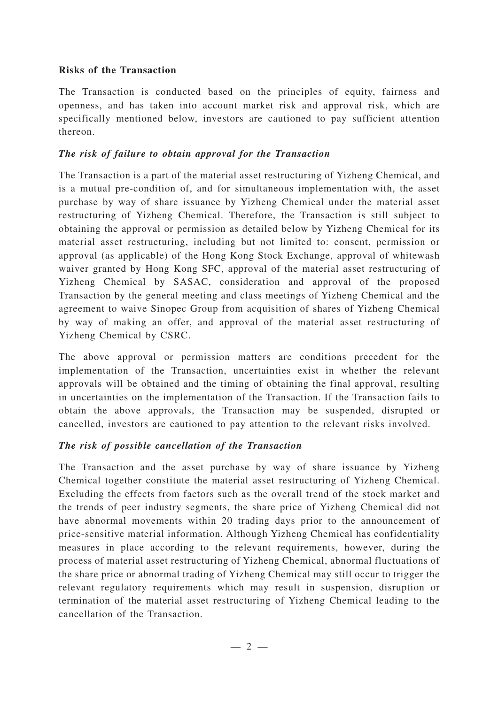#### **Risks of the Transaction**

The Transaction is conducted based on the principles of equity, fairness and openness, and has taken into account market risk and approval risk, which are specifically mentioned below, investors are cautioned to pay sufficient attention thereon.

### *The risk of failure to obtain approval for the Transaction*

The Transaction is a part of the material asset restructuring of Yizheng Chemical, and is a mutual pre-condition of, and for simultaneous implementation with, the asset purchase by way of share issuance by Yizheng Chemical under the material asset restructuring of Yizheng Chemical. Therefore, the Transaction is still subject to obtaining the approval or permission as detailed below by Yizheng Chemical for its material asset restructuring, including but not limited to: consent, permission or approval (as applicable) of the Hong Kong Stock Exchange, approval of whitewash waiver granted by Hong Kong SFC, approval of the material asset restructuring of Yizheng Chemical by SASAC, consideration and approval of the proposed Transaction by the general meeting and class meetings of Yizheng Chemical and the agreement to waive Sinopec Group from acquisition of shares of Yizheng Chemical by way of making an offer, and approval of the material asset restructuring of Yizheng Chemical by CSRC.

The above approval or permission matters are conditions precedent for the implementation of the Transaction, uncertainties exist in whether the relevant approvals will be obtained and the timing of obtaining the final approval, resulting in uncertainties on the implementation of the Transaction. If the Transaction fails to obtain the above approvals, the Transaction may be suspended, disrupted or cancelled, investors are cautioned to pay attention to the relevant risks involved.

#### *The risk of possible cancellation of the Transaction*

The Transaction and the asset purchase by way of share issuance by Yizheng Chemical together constitute the material asset restructuring of Yizheng Chemical. Excluding the effects from factors such as the overall trend of the stock market and the trends of peer industry segments, the share price of Yizheng Chemical did not have abnormal movements within 20 trading days prior to the announcement of price-sensitive material information. Although Yizheng Chemical has confidentiality measures in place according to the relevant requirements, however, during the process of material asset restructuring of Yizheng Chemical, abnormal fluctuations of the share price or abnormal trading of Yizheng Chemical may still occur to trigger the relevant regulatory requirements which may result in suspension, disruption or termination of the material asset restructuring of Yizheng Chemical leading to the cancellation of the Transaction.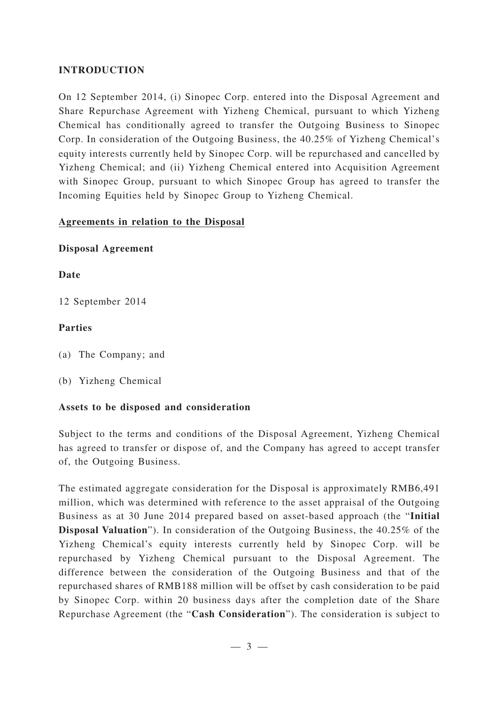### **INTRODUCTION**

On 12 September 2014, (i) Sinopec Corp. entered into the Disposal Agreement and Share Repurchase Agreement with Yizheng Chemical, pursuant to which Yizheng Chemical has conditionally agreed to transfer the Outgoing Business to Sinopec Corp. In consideration of the Outgoing Business, the 40.25% of Yizheng Chemical's equity interests currently held by Sinopec Corp. will be repurchased and cancelled by Yizheng Chemical; and (ii) Yizheng Chemical entered into Acquisition Agreement with Sinopec Group, pursuant to which Sinopec Group has agreed to transfer the Incoming Equities held by Sinopec Group to Yizheng Chemical.

### **Agreements in relation to the Disposal**

### **Disposal Agreement**

### **Date**

12 September 2014

### **Parties**

(a) The Company; and

(b) Yizheng Chemical

## **Assets to be disposed and consideration**

Subject to the terms and conditions of the Disposal Agreement, Yizheng Chemical has agreed to transfer or dispose of, and the Company has agreed to accept transfer of, the Outgoing Business.

The estimated aggregate consideration for the Disposal is approximately RMB6,491 million, which was determined with reference to the asset appraisal of the Outgoing Business as at 30 June 2014 prepared based on asset-based approach (the "**Initial Disposal Valuation**"). In consideration of the Outgoing Business, the 40.25% of the Yizheng Chemical's equity interests currently held by Sinopec Corp. will be repurchased by Yizheng Chemical pursuant to the Disposal Agreement. The difference between the consideration of the Outgoing Business and that of the repurchased shares of RMB188 million will be offset by cash consideration to be paid by Sinopec Corp. within 20 business days after the completion date of the Share Repurchase Agreement (the "**Cash Consideration**"). The consideration is subject to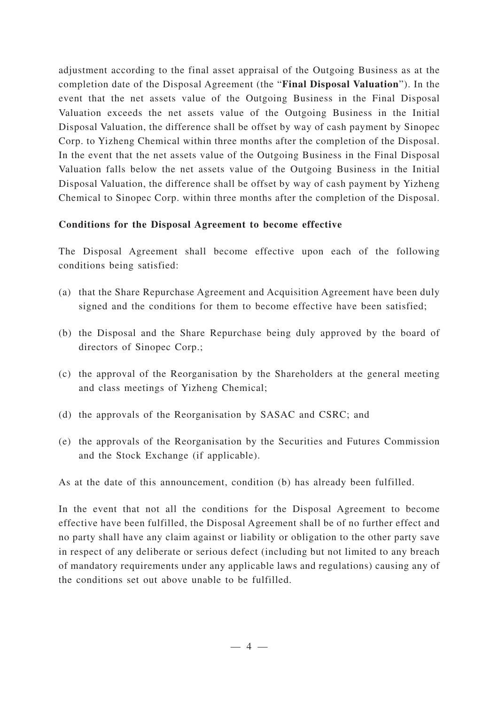adjustment according to the final asset appraisal of the Outgoing Business as at the completion date of the Disposal Agreement (the "**Final Disposal Valuation**"). In the event that the net assets value of the Outgoing Business in the Final Disposal Valuation exceeds the net assets value of the Outgoing Business in the Initial Disposal Valuation, the difference shall be offset by way of cash payment by Sinopec Corp. to Yizheng Chemical within three months after the completion of the Disposal. In the event that the net assets value of the Outgoing Business in the Final Disposal Valuation falls below the net assets value of the Outgoing Business in the Initial Disposal Valuation, the difference shall be offset by way of cash payment by Yizheng Chemical to Sinopec Corp. within three months after the completion of the Disposal.

#### **Conditions for the Disposal Agreement to become effective**

The Disposal Agreement shall become effective upon each of the following conditions being satisfied:

- (a) that the Share Repurchase Agreement and Acquisition Agreement have been duly signed and the conditions for them to become effective have been satisfied;
- (b) the Disposal and the Share Repurchase being duly approved by the board of directors of Sinopec Corp.;
- (c) the approval of the Reorganisation by the Shareholders at the general meeting and class meetings of Yizheng Chemical;
- (d) the approvals of the Reorganisation by SASAC and CSRC; and
- (e) the approvals of the Reorganisation by the Securities and Futures Commission and the Stock Exchange (if applicable).

As at the date of this announcement, condition (b) has already been fulfilled.

In the event that not all the conditions for the Disposal Agreement to become effective have been fulfilled, the Disposal Agreement shall be of no further effect and no party shall have any claim against or liability or obligation to the other party save in respect of any deliberate or serious defect (including but not limited to any breach of mandatory requirements under any applicable laws and regulations) causing any of the conditions set out above unable to be fulfilled.

—4—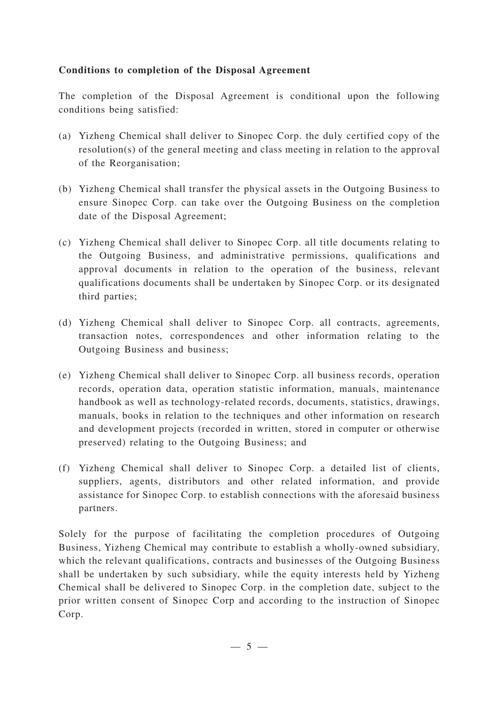### **Conditions to completion of the Disposal Agreement**

The completion of the Disposal Agreement is conditional upon the following conditions being satisfied:

- (a) Yizheng Chemical shall deliver to Sinopec Corp. the duly certified copy of the resolution(s) of the general meeting and class meeting in relation to the approval of the Reorganisation;
- (b) Yizheng Chemical shall transfer the physical assets in the Outgoing Business to ensure Sinopec Corp. can take over the Outgoing Business on the completion date of the Disposal Agreement;
- (c) Yizheng Chemical shall deliver to Sinopec Corp. all title documents relating to the Outgoing Business, and administrative permissions, qualifications and approval documents in relation to the operation of the business, relevant qualifications documents shall be undertaken by Sinopec Corp. or its designated third parties;
- (d) Yizheng Chemical shall deliver to Sinopec Corp. all contracts, agreements, transaction notes, correspondences and other information relating to the Outgoing Business and business;
- (e) Yizheng Chemical shall deliver to Sinopec Corp. all business records, operation records, operation data, operation statistic information, manuals, maintenance handbook as well as technology-related records, documents, statistics, drawings, manuals, books in relation to the techniques and other information on research and development projects (recorded in written, stored in computer or otherwise preserved) relating to the Outgoing Business; and
- (f) Yizheng Chemical shall deliver to Sinopec Corp. a detailed list of clients, suppliers, agents, distributors and other related information, and provide assistance for Sinopec Corp. to establish connections with the aforesaid business partners.

Solely for the purpose of facilitating the completion procedures of Outgoing Business, Yizheng Chemical may contribute to establish a wholly-owned subsidiary, which the relevant qualifications, contracts and businesses of the Outgoing Business shall be undertaken by such subsidiary, while the equity interests held by Yizheng Chemical shall be delivered to Sinopec Corp. in the completion date, subject to the prior written consent of Sinopec Corp and according to the instruction of Sinopec Corp.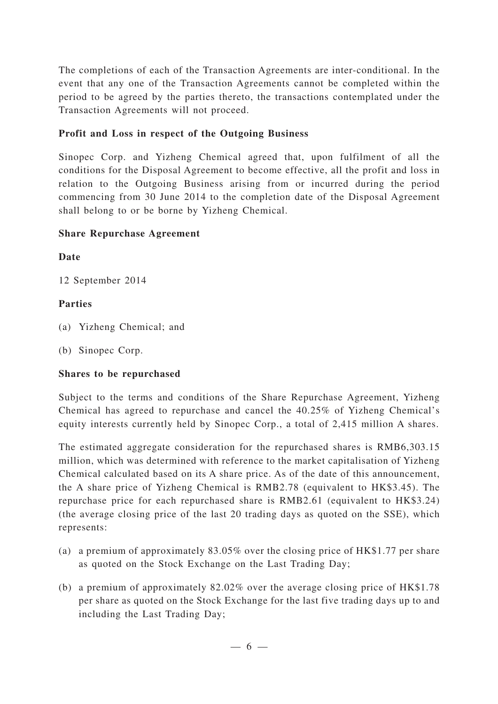The completions of each of the Transaction Agreements are inter-conditional. In the event that any one of the Transaction Agreements cannot be completed within the period to be agreed by the parties thereto, the transactions contemplated under the Transaction Agreements will not proceed.

## **Profit and Loss in respect of the Outgoing Business**

Sinopec Corp. and Yizheng Chemical agreed that, upon fulfilment of all the conditions for the Disposal Agreement to become effective, all the profit and loss in relation to the Outgoing Business arising from or incurred during the period commencing from 30 June 2014 to the completion date of the Disposal Agreement shall belong to or be borne by Yizheng Chemical.

## **Share Repurchase Agreement**

**Date**

12 September 2014

## **Parties**

- (a) Yizheng Chemical; and
- (b) Sinopec Corp.

# **Shares to be repurchased**

Subject to the terms and conditions of the Share Repurchase Agreement, Yizheng Chemical has agreed to repurchase and cancel the 40.25% of Yizheng Chemical's equity interests currently held by Sinopec Corp., a total of 2,415 million A shares.

The estimated aggregate consideration for the repurchased shares is RMB6,303.15 million, which was determined with reference to the market capitalisation of Yizheng Chemical calculated based on its A share price. As of the date of this announcement, the A share price of Yizheng Chemical is RMB2.78 (equivalent to HK\$3.45). The repurchase price for each repurchased share is RMB2.61 (equivalent to HK\$3.24) (the average closing price of the last 20 trading days as quoted on the SSE), which represents:

- (a) a premium of approximately 83.05% over the closing price of HK\$1.77 per share as quoted on the Stock Exchange on the Last Trading Day;
- (b) a premium of approximately 82.02% over the average closing price of HK\$1.78 per share as quoted on the Stock Exchange for the last five trading days up to and including the Last Trading Day;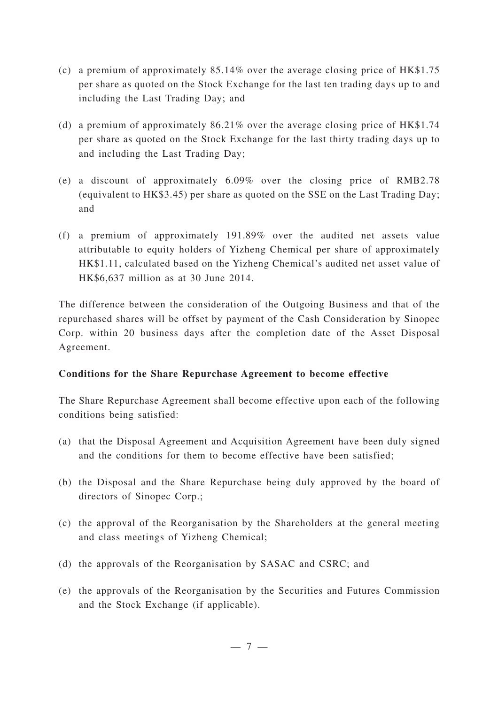- (c) a premium of approximately 85.14% over the average closing price of HK\$1.75 per share as quoted on the Stock Exchange for the last ten trading days up to and including the Last Trading Day; and
- (d) a premium of approximately 86.21% over the average closing price of HK\$1.74 per share as quoted on the Stock Exchange for the last thirty trading days up to and including the Last Trading Day;
- (e) a discount of approximately 6.09% over the closing price of RMB2.78 (equivalent to HK\$3.45) per share as quoted on the SSE on the Last Trading Day; and
- (f) a premium of approximately 191.89% over the audited net assets value attributable to equity holders of Yizheng Chemical per share of approximately HK\$1.11, calculated based on the Yizheng Chemical's audited net asset value of HK\$6,637 million as at 30 June 2014.

The difference between the consideration of the Outgoing Business and that of the repurchased shares will be offset by payment of the Cash Consideration by Sinopec Corp. within 20 business days after the completion date of the Asset Disposal Agreement.

## **Conditions for the Share Repurchase Agreement to become effective**

The Share Repurchase Agreement shall become effective upon each of the following conditions being satisfied:

- (a) that the Disposal Agreement and Acquisition Agreement have been duly signed and the conditions for them to become effective have been satisfied;
- (b) the Disposal and the Share Repurchase being duly approved by the board of directors of Sinopec Corp.;
- (c) the approval of the Reorganisation by the Shareholders at the general meeting and class meetings of Yizheng Chemical;
- (d) the approvals of the Reorganisation by SASAC and CSRC; and
- (e) the approvals of the Reorganisation by the Securities and Futures Commission and the Stock Exchange (if applicable).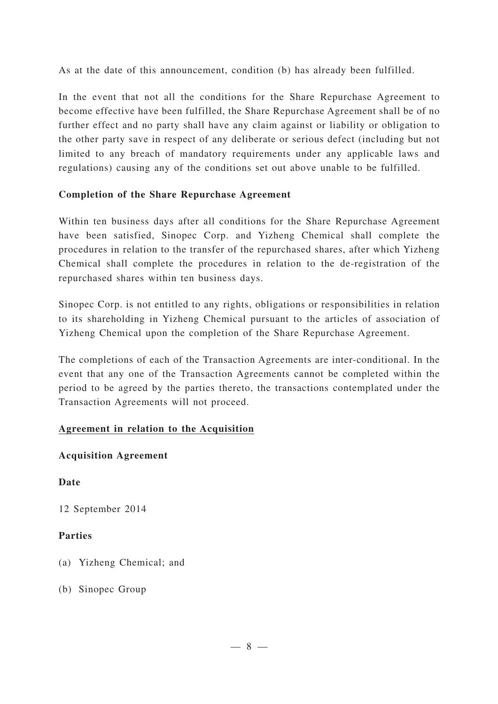As at the date of this announcement, condition (b) has already been fulfilled.

In the event that not all the conditions for the Share Repurchase Agreement to become effective have been fulfilled, the Share Repurchase Agreement shall be of no further effect and no party shall have any claim against or liability or obligation to the other party save in respect of any deliberate or serious defect (including but not limited to any breach of mandatory requirements under any applicable laws and regulations) causing any of the conditions set out above unable to be fulfilled.

## **Completion of the Share Repurchase Agreement**

Within ten business days after all conditions for the Share Repurchase Agreement have been satisfied, Sinopec Corp. and Yizheng Chemical shall complete the procedures in relation to the transfer of the repurchased shares, after which Yizheng Chemical shall complete the procedures in relation to the de-registration of the repurchased shares within ten business days.

Sinopec Corp. is not entitled to any rights, obligations or responsibilities in relation to its shareholding in Yizheng Chemical pursuant to the articles of association of Yizheng Chemical upon the completion of the Share Repurchase Agreement.

The completions of each of the Transaction Agreements are inter-conditional. In the event that any one of the Transaction Agreements cannot be completed within the period to be agreed by the parties thereto, the transactions contemplated under the Transaction Agreements will not proceed.

## **Agreement in relation to the Acquisition**

## **Acquisition Agreement**

**Date**

12 September 2014

## **Parties**

- (a) Yizheng Chemical; and
- (b) Sinopec Group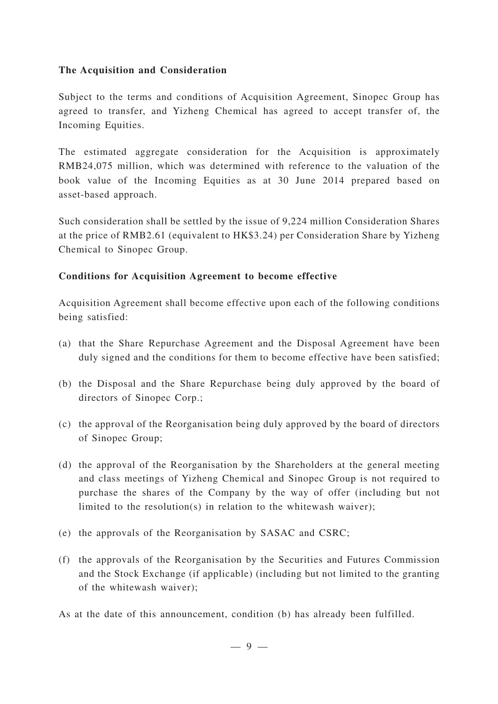#### **The Acquisition and Consideration**

Subject to the terms and conditions of Acquisition Agreement, Sinopec Group has agreed to transfer, and Yizheng Chemical has agreed to accept transfer of, the Incoming Equities.

The estimated aggregate consideration for the Acquisition is approximately RMB24,075 million, which was determined with reference to the valuation of the book value of the Incoming Equities as at 30 June 2014 prepared based on asset-based approach.

Such consideration shall be settled by the issue of 9,224 million Consideration Shares at the price of RMB2.61 (equivalent to HK\$3.24) per Consideration Share by Yizheng Chemical to Sinopec Group.

## **Conditions for Acquisition Agreement to become effective**

Acquisition Agreement shall become effective upon each of the following conditions being satisfied:

- (a) that the Share Repurchase Agreement and the Disposal Agreement have been duly signed and the conditions for them to become effective have been satisfied;
- (b) the Disposal and the Share Repurchase being duly approved by the board of directors of Sinopec Corp.;
- (c) the approval of the Reorganisation being duly approved by the board of directors of Sinopec Group;
- (d) the approval of the Reorganisation by the Shareholders at the general meeting and class meetings of Yizheng Chemical and Sinopec Group is not required to purchase the shares of the Company by the way of offer (including but not limited to the resolution(s) in relation to the whitewash waiver);
- (e) the approvals of the Reorganisation by SASAC and CSRC;
- (f) the approvals of the Reorganisation by the Securities and Futures Commission and the Stock Exchange (if applicable) (including but not limited to the granting of the whitewash waiver);
- As at the date of this announcement, condition (b) has already been fulfilled.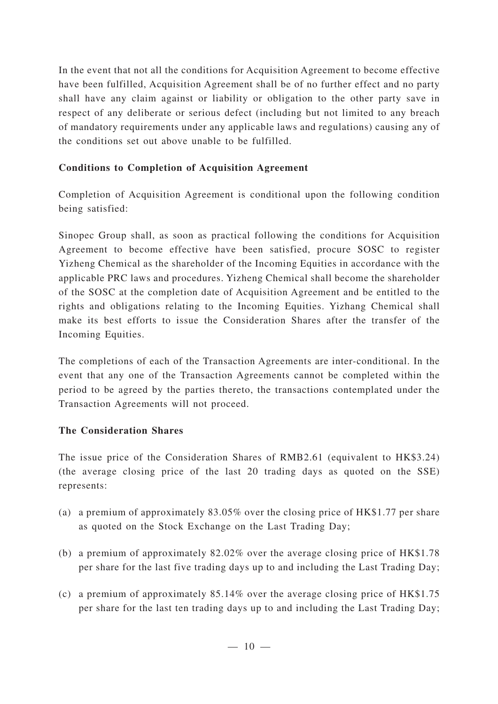In the event that not all the conditions for Acquisition Agreement to become effective have been fulfilled, Acquisition Agreement shall be of no further effect and no party shall have any claim against or liability or obligation to the other party save in respect of any deliberate or serious defect (including but not limited to any breach of mandatory requirements under any applicable laws and regulations) causing any of the conditions set out above unable to be fulfilled.

# **Conditions to Completion of Acquisition Agreement**

Completion of Acquisition Agreement is conditional upon the following condition being satisfied:

Sinopec Group shall, as soon as practical following the conditions for Acquisition Agreement to become effective have been satisfied, procure SOSC to register Yizheng Chemical as the shareholder of the Incoming Equities in accordance with the applicable PRC laws and procedures. Yizheng Chemical shall become the shareholder of the SOSC at the completion date of Acquisition Agreement and be entitled to the rights and obligations relating to the Incoming Equities. Yizhang Chemical shall make its best efforts to issue the Consideration Shares after the transfer of the Incoming Equities.

The completions of each of the Transaction Agreements are inter-conditional. In the event that any one of the Transaction Agreements cannot be completed within the period to be agreed by the parties thereto, the transactions contemplated under the Transaction Agreements will not proceed.

## **The Consideration Shares**

The issue price of the Consideration Shares of RMB2.61 (equivalent to HK\$3.24) (the average closing price of the last 20 trading days as quoted on the SSE) represents:

- (a) a premium of approximately 83.05% over the closing price of HK\$1.77 per share as quoted on the Stock Exchange on the Last Trading Day;
- (b) a premium of approximately 82.02% over the average closing price of HK\$1.78 per share for the last five trading days up to and including the Last Trading Day;
- (c) a premium of approximately 85.14% over the average closing price of HK\$1.75 per share for the last ten trading days up to and including the Last Trading Day;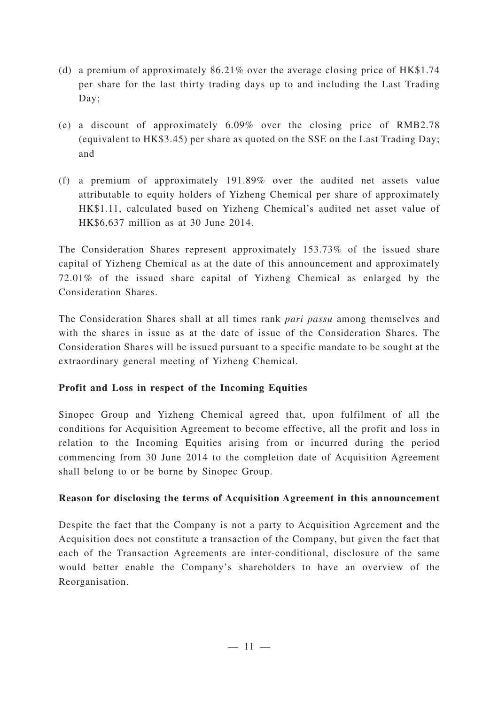- (d) a premium of approximately 86.21% over the average closing price of HK\$1.74 per share for the last thirty trading days up to and including the Last Trading Day;
- (e) a discount of approximately 6.09% over the closing price of RMB2.78 (equivalent to HK\$3.45) per share as quoted on the SSE on the Last Trading Day; and
- (f) a premium of approximately 191.89% over the audited net assets value attributable to equity holders of Yizheng Chemical per share of approximately HK\$1.11, calculated based on Yizheng Chemical's audited net asset value of HK\$6,637 million as at 30 June 2014.

The Consideration Shares represent approximately 153.73% of the issued share capital of Yizheng Chemical as at the date of this announcement and approximately 72.01% of the issued share capital of Yizheng Chemical as enlarged by the Consideration Shares.

The Consideration Shares shall at all times rank *pari passu* among themselves and with the shares in issue as at the date of issue of the Consideration Shares. The Consideration Shares will be issued pursuant to a specific mandate to be sought at the extraordinary general meeting of Yizheng Chemical.

## **Profit and Loss in respect of the Incoming Equities**

Sinopec Group and Yizheng Chemical agreed that, upon fulfilment of all the conditions for Acquisition Agreement to become effective, all the profit and loss in relation to the Incoming Equities arising from or incurred during the period commencing from 30 June 2014 to the completion date of Acquisition Agreement shall belong to or be borne by Sinopec Group.

## **Reason for disclosing the terms of Acquisition Agreement in this announcement**

Despite the fact that the Company is not a party to Acquisition Agreement and the Acquisition does not constitute a transaction of the Company, but given the fact that each of the Transaction Agreements are inter-conditional, disclosure of the same would better enable the Company's shareholders to have an overview of the Reorganisation.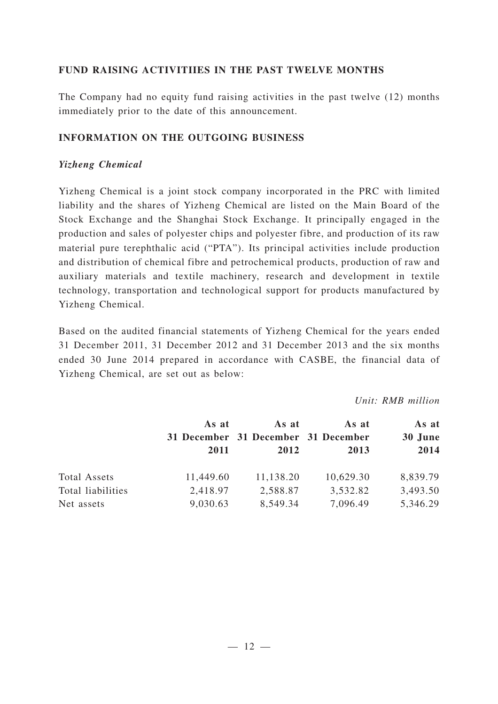### **FUND RAISING ACTIVITIIES IN THE PAST TWELVE MONTHS**

The Company had no equity fund raising activities in the past twelve (12) months immediately prior to the date of this announcement.

### **INFORMATION ON THE OUTGOING BUSINESS**

#### *Yizheng Chemical*

Yizheng Chemical is a joint stock company incorporated in the PRC with limited liability and the shares of Yizheng Chemical are listed on the Main Board of the Stock Exchange and the Shanghai Stock Exchange. It principally engaged in the production and sales of polyester chips and polyester fibre, and production of its raw material pure terephthalic acid ("PTA"). Its principal activities include production and distribution of chemical fibre and petrochemical products, production of raw and auxiliary materials and textile machinery, research and development in textile technology, transportation and technological support for products manufactured by Yizheng Chemical.

Based on the audited financial statements of Yizheng Chemical for the years ended 31 December 2011, 31 December 2012 and 31 December 2013 and the six months ended 30 June 2014 prepared in accordance with CASBE, the financial data of Yizheng Chemical, are set out as below:

*Unit: RMB million*

|                     | As at<br>2011 | As at<br>31 December 31 December 31 December<br>2012 | As at<br>2013 | As at<br>30 June<br>2014 |
|---------------------|---------------|------------------------------------------------------|---------------|--------------------------|
| <b>Total Assets</b> | 11,449.60     | 11,138.20                                            | 10,629.30     | 8,839.79                 |
| Total liabilities   | 2,418.97      | 2,588.87                                             | 3,532.82      | 3,493.50                 |
| Net assets          | 9,030.63      | 8,549.34                                             | 7,096.49      | 5,346.29                 |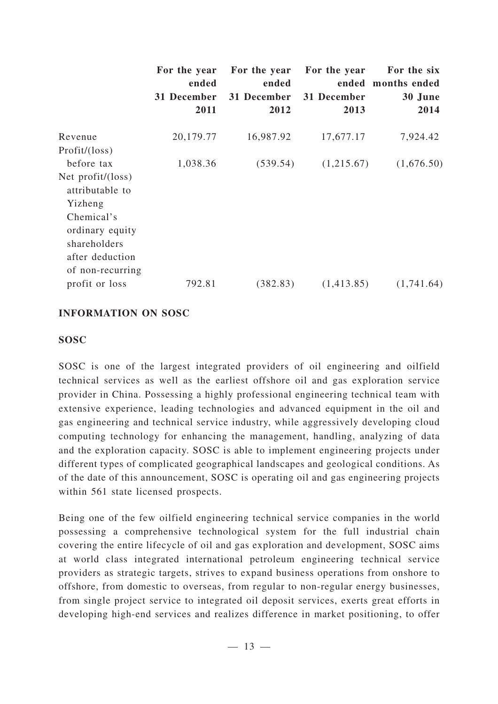|                             | For the year<br>ended | For the year<br>ended | For the year | For the six<br>ended months ended |
|-----------------------------|-----------------------|-----------------------|--------------|-----------------------------------|
|                             | 31 December           | 31 December           | 31 December  | 30 June                           |
|                             | 2011                  | 2012                  | 2013         | 2014                              |
| Revenue                     | 20,179.77             | 16,987.92             | 17,677.17    | 7,924.42                          |
| Profit/ (loss)              |                       |                       |              |                                   |
| before tax                  | 1,038.36              | (539.54)              | (1,215.67)   | (1,676.50)                        |
| Net profit/ $(\text{loss})$ |                       |                       |              |                                   |
| attributable to             |                       |                       |              |                                   |
| Yizheng                     |                       |                       |              |                                   |
| Chemical's                  |                       |                       |              |                                   |
| ordinary equity             |                       |                       |              |                                   |
| shareholders                |                       |                       |              |                                   |
| after deduction             |                       |                       |              |                                   |
| of non-recurring            |                       |                       |              |                                   |
| profit or loss              | 792.81                | (382.83)              | (1,413.85)   | (1,741.64)                        |

#### **INFORMATION ON SOSC**

#### **SOSC**

SOSC is one of the largest integrated providers of oil engineering and oilfield technical services as well as the earliest offshore oil and gas exploration service provider in China. Possessing a highly professional engineering technical team with extensive experience, leading technologies and advanced equipment in the oil and gas engineering and technical service industry, while aggressively developing cloud computing technology for enhancing the management, handling, analyzing of data and the exploration capacity. SOSC is able to implement engineering projects under different types of complicated geographical landscapes and geological conditions. As of the date of this announcement, SOSC is operating oil and gas engineering projects within 561 state licensed prospects.

Being one of the few oilfield engineering technical service companies in the world possessing a comprehensive technological system for the full industrial chain covering the entire lifecycle of oil and gas exploration and development, SOSC aims at world class integrated international petroleum engineering technical service providers as strategic targets, strives to expand business operations from onshore to offshore, from domestic to overseas, from regular to non-regular energy businesses, from single project service to integrated oil deposit services, exerts great efforts in developing high-end services and realizes difference in market positioning, to offer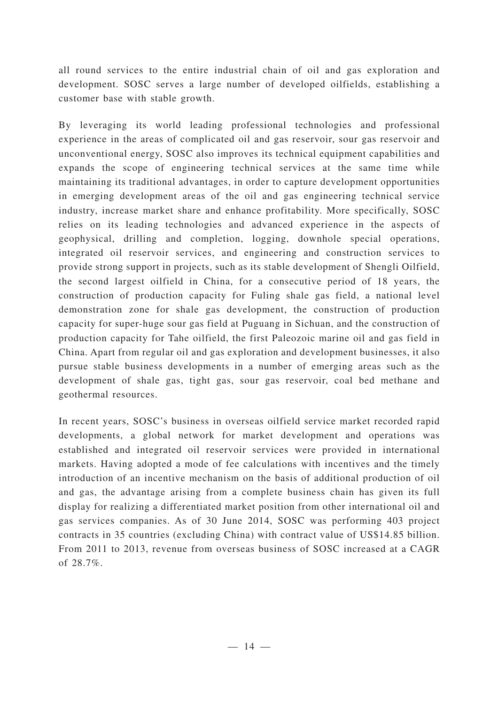all round services to the entire industrial chain of oil and gas exploration and development. SOSC serves a large number of developed oilfields, establishing a customer base with stable growth.

By leveraging its world leading professional technologies and professional experience in the areas of complicated oil and gas reservoir, sour gas reservoir and unconventional energy, SOSC also improves its technical equipment capabilities and expands the scope of engineering technical services at the same time while maintaining its traditional advantages, in order to capture development opportunities in emerging development areas of the oil and gas engineering technical service industry, increase market share and enhance profitability. More specifically, SOSC relies on its leading technologies and advanced experience in the aspects of geophysical, drilling and completion, logging, downhole special operations, integrated oil reservoir services, and engineering and construction services to provide strong support in projects, such as its stable development of Shengli Oilfield, the second largest oilfield in China, for a consecutive period of 18 years, the construction of production capacity for Fuling shale gas field, a national level demonstration zone for shale gas development, the construction of production capacity for super-huge sour gas field at Puguang in Sichuan, and the construction of production capacity for Tahe oilfield, the first Paleozoic marine oil and gas field in China. Apart from regular oil and gas exploration and development businesses, it also pursue stable business developments in a number of emerging areas such as the development of shale gas, tight gas, sour gas reservoir, coal bed methane and geothermal resources.

In recent years, SOSC's business in overseas oilfield service market recorded rapid developments, a global network for market development and operations was established and integrated oil reservoir services were provided in international markets. Having adopted a mode of fee calculations with incentives and the timely introduction of an incentive mechanism on the basis of additional production of oil and gas, the advantage arising from a complete business chain has given its full display for realizing a differentiated market position from other international oil and gas services companies. As of 30 June 2014, SOSC was performing 403 project contracts in 35 countries (excluding China) with contract value of US\$14.85 billion. From 2011 to 2013, revenue from overseas business of SOSC increased at a CAGR of 28.7%.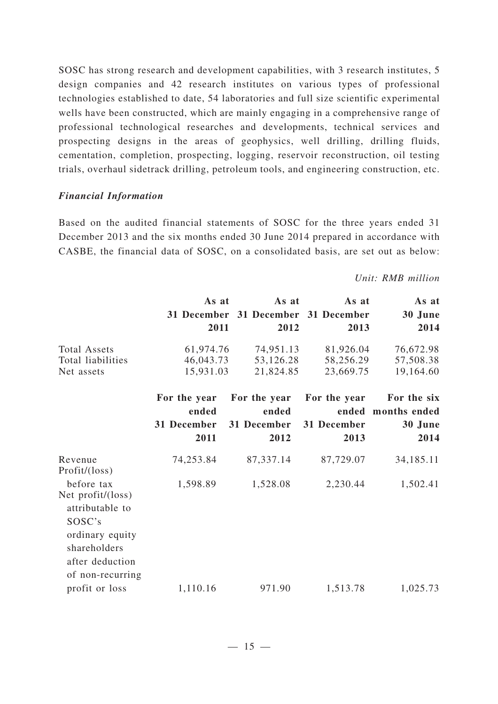SOSC has strong research and development capabilities, with 3 research institutes, 5 design companies and 42 research institutes on various types of professional technologies established to date, 54 laboratories and full size scientific experimental wells have been constructed, which are mainly engaging in a comprehensive range of professional technological researches and developments, technical services and prospecting designs in the areas of geophysics, well drilling, drilling fluids, cementation, completion, prospecting, logging, reservoir reconstruction, oil testing trials, overhaul sidetrack drilling, petroleum tools, and engineering construction, etc.

#### *Financial Information*

Based on the audited financial statements of SOSC for the three years ended 31 December 2013 and the six months ended 30 June 2014 prepared in accordance with CASBE, the financial data of SOSC, on a consolidated basis, are set out as below:

#### *Unit: RMB million*

|                                                | As at        | As at        | As at                   | As at        |
|------------------------------------------------|--------------|--------------|-------------------------|--------------|
|                                                | 31 December  |              | 31 December 31 December | 30 June      |
|                                                | 2011         | 2012         | 2013                    | 2014         |
| Total Assets                                   | 61,974.76    | 74,951.13    | 81,926.04               | 76,672.98    |
| Total liabilities                              | 46,043.73    | 53,126.28    | 58,256.29               | 57,508.38    |
| Net assets                                     | 15,931.03    | 21,824.85    | 23,669.75               | 19,164.60    |
|                                                | For the year | For the year | For the year            | For the six  |
|                                                | ended        | ended        | ended                   | months ended |
|                                                | 31 December  | 31 December  | 31 December             | 30 June      |
|                                                | 2011         | 2012         | 2013                    | 2014         |
| Revenue<br>Profit/(loss)                       | 74,253.84    | 87,337.14    | 87,729.07               | 34,185.11    |
| before tax                                     | 1,598.89     | 1,528.08     | 2,230.44                | 1,502.41     |
| Net profit/(loss)<br>attributable to<br>SOSC's |              |              |                         |              |
| ordinary equity<br>shareholders                |              |              |                         |              |
| after deduction<br>of non-recurring            |              |              |                         |              |
| profit or loss                                 | 1,110.16     | 971.90       | 1,513.78                | 1,025.73     |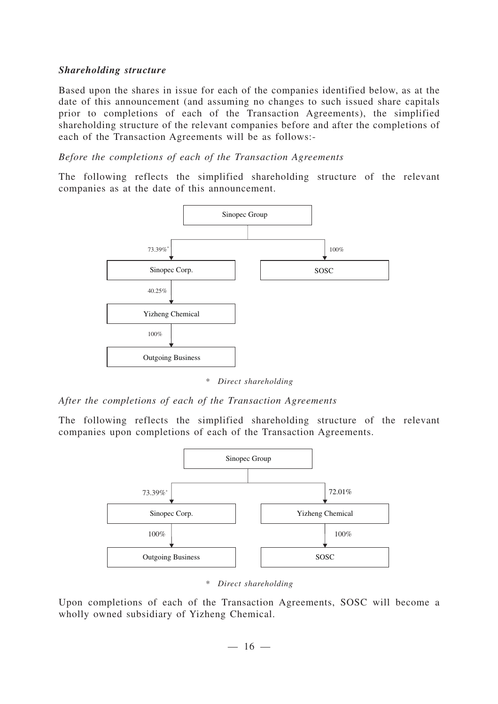#### *Shareholding structure*

Based upon the shares in issue for each of the companies identified below, as at the date of this announcement (and assuming no changes to such issued share capitals prior to completions of each of the Transaction Agreements), the simplified shareholding structure of the relevant companies before and after the completions of each of the Transaction Agreements will be as follows:-

#### *Before the completions of each of the Transaction Agreements*

The following reflects the simplified shareholding structure of the relevant companies as at the date of this announcement.



*\* Direct shareholding*

#### *After the completions of each of the Transaction Agreements*

The following reflects the simplified shareholding structure of the relevant companies upon completions of each of the Transaction Agreements.



*\* Direct shareholding*

Upon completions of each of the Transaction Agreements, SOSC will become a wholly owned subsidiary of Yizheng Chemical.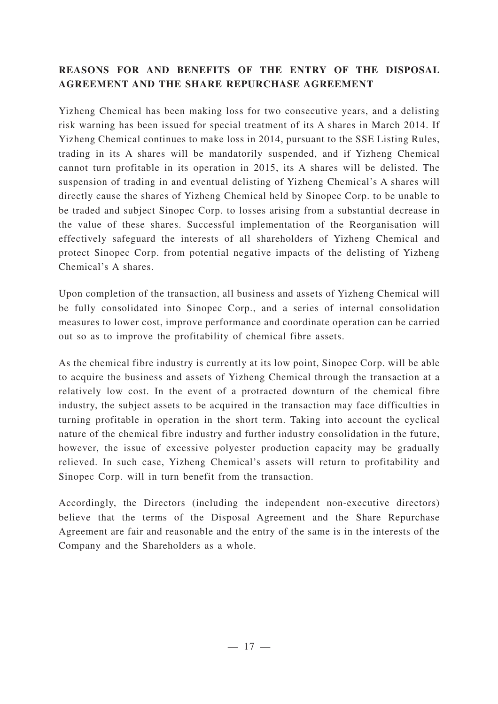# **REASONS FOR AND BENEFITS OF THE ENTRY OF THE DISPOSAL AGREEMENT AND THE SHARE REPURCHASE AGREEMENT**

Yizheng Chemical has been making loss for two consecutive years, and a delisting risk warning has been issued for special treatment of its A shares in March 2014. If Yizheng Chemical continues to make loss in 2014, pursuant to the SSE Listing Rules, trading in its A shares will be mandatorily suspended, and if Yizheng Chemical cannot turn profitable in its operation in 2015, its A shares will be delisted. The suspension of trading in and eventual delisting of Yizheng Chemical's A shares will directly cause the shares of Yizheng Chemical held by Sinopec Corp. to be unable to be traded and subject Sinopec Corp. to losses arising from a substantial decrease in the value of these shares. Successful implementation of the Reorganisation will effectively safeguard the interests of all shareholders of Yizheng Chemical and protect Sinopec Corp. from potential negative impacts of the delisting of Yizheng Chemical's A shares.

Upon completion of the transaction, all business and assets of Yizheng Chemical will be fully consolidated into Sinopec Corp., and a series of internal consolidation measures to lower cost, improve performance and coordinate operation can be carried out so as to improve the profitability of chemical fibre assets.

As the chemical fibre industry is currently at its low point, Sinopec Corp. will be able to acquire the business and assets of Yizheng Chemical through the transaction at a relatively low cost. In the event of a protracted downturn of the chemical fibre industry, the subject assets to be acquired in the transaction may face difficulties in turning profitable in operation in the short term. Taking into account the cyclical nature of the chemical fibre industry and further industry consolidation in the future, however, the issue of excessive polyester production capacity may be gradually relieved. In such case, Yizheng Chemical's assets will return to profitability and Sinopec Corp. will in turn benefit from the transaction.

Accordingly, the Directors (including the independent non-executive directors) believe that the terms of the Disposal Agreement and the Share Repurchase Agreement are fair and reasonable and the entry of the same is in the interests of the Company and the Shareholders as a whole.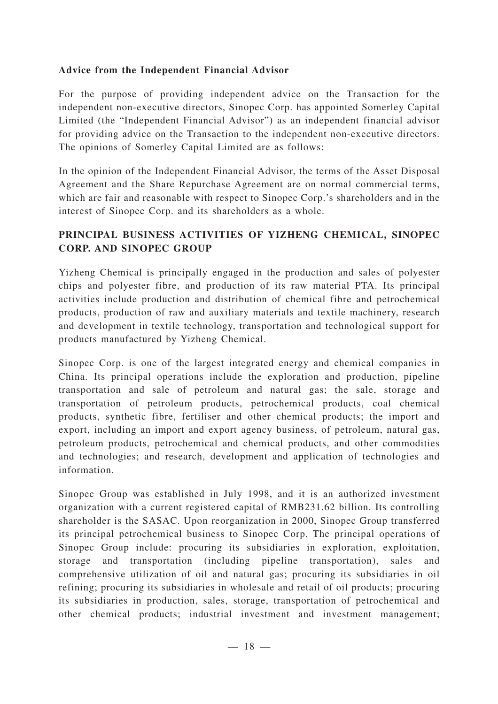### **Advice from the Independent Financial Advisor**

For the purpose of providing independent advice on the Transaction for the independent non-executive directors, Sinopec Corp. has appointed Somerley Capital Limited (the "Independent Financial Advisor") as an independent financial advisor for providing advice on the Transaction to the independent non-executive directors. The opinions of Somerley Capital Limited are as follows:

In the opinion of the Independent Financial Advisor, the terms of the Asset Disposal Agreement and the Share Repurchase Agreement are on normal commercial terms, which are fair and reasonable with respect to Sinopec Corp.'s shareholders and in the interest of Sinopec Corp. and its shareholders as a whole.

# **PRINCIPAL BUSINESS ACTIVITIES OF YIZHENG CHEMICAL, SINOPEC CORP. AND SINOPEC GROUP**

Yizheng Chemical is principally engaged in the production and sales of polyester chips and polyester fibre, and production of its raw material PTA. Its principal activities include production and distribution of chemical fibre and petrochemical products, production of raw and auxiliary materials and textile machinery, research and development in textile technology, transportation and technological support for products manufactured by Yizheng Chemical.

Sinopec Corp. is one of the largest integrated energy and chemical companies in China. Its principal operations include the exploration and production, pipeline transportation and sale of petroleum and natural gas; the sale, storage and transportation of petroleum products, petrochemical products, coal chemical products, synthetic fibre, fertiliser and other chemical products; the import and export, including an import and export agency business, of petroleum, natural gas, petroleum products, petrochemical and chemical products, and other commodities and technologies; and research, development and application of technologies and information.

Sinopec Group was established in July 1998, and it is an authorized investment organization with a current registered capital of RMB231.62 billion. Its controlling shareholder is the SASAC. Upon reorganization in 2000, Sinopec Group transferred its principal petrochemical business to Sinopec Corp. The principal operations of Sinopec Group include: procuring its subsidiaries in exploration, exploitation, storage and transportation (including pipeline transportation), sales and comprehensive utilization of oil and natural gas; procuring its subsidiaries in oil refining; procuring its subsidiaries in wholesale and retail of oil products; procuring its subsidiaries in production, sales, storage, transportation of petrochemical and other chemical products; industrial investment and investment management;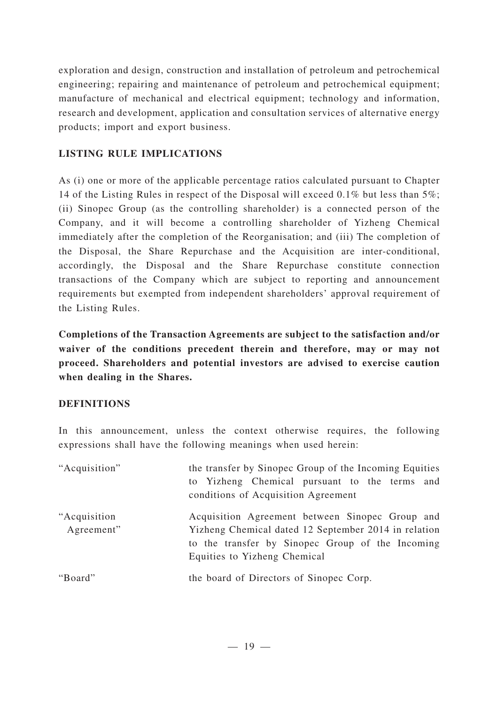exploration and design, construction and installation of petroleum and petrochemical engineering; repairing and maintenance of petroleum and petrochemical equipment; manufacture of mechanical and electrical equipment; technology and information, research and development, application and consultation services of alternative energy products; import and export business.

# **LISTING RULE IMPLICATIONS**

As (i) one or more of the applicable percentage ratios calculated pursuant to Chapter 14 of the Listing Rules in respect of the Disposal will exceed 0.1% but less than 5%; (ii) Sinopec Group (as the controlling shareholder) is a connected person of the Company, and it will become a controlling shareholder of Yizheng Chemical immediately after the completion of the Reorganisation; and (iii) The completion of the Disposal, the Share Repurchase and the Acquisition are inter-conditional, accordingly, the Disposal and the Share Repurchase constitute connection transactions of the Company which are subject to reporting and announcement requirements but exempted from independent shareholders' approval requirement of the Listing Rules.

**Completions of the Transaction Agreements are subject to the satisfaction and/or waiver of the conditions precedent therein and therefore, may or may not proceed. Shareholders and potential investors are advised to exercise caution when dealing in the Shares.**

## **DEFINITIONS**

In this announcement, unless the context otherwise requires, the following expressions shall have the following meanings when used herein:

| "Acquisition"               | the transfer by Sinopec Group of the Incoming Equities<br>to Yizheng Chemical pursuant to the terms and<br>conditions of Acquisition Agreement                                              |
|-----------------------------|---------------------------------------------------------------------------------------------------------------------------------------------------------------------------------------------|
| "Acquisition"<br>Agreement" | Acquisition Agreement between Sinopec Group and<br>Yizheng Chemical dated 12 September 2014 in relation<br>to the transfer by Sinopec Group of the Incoming<br>Equities to Yizheng Chemical |
| "Board"                     | the board of Directors of Sinopec Corp.                                                                                                                                                     |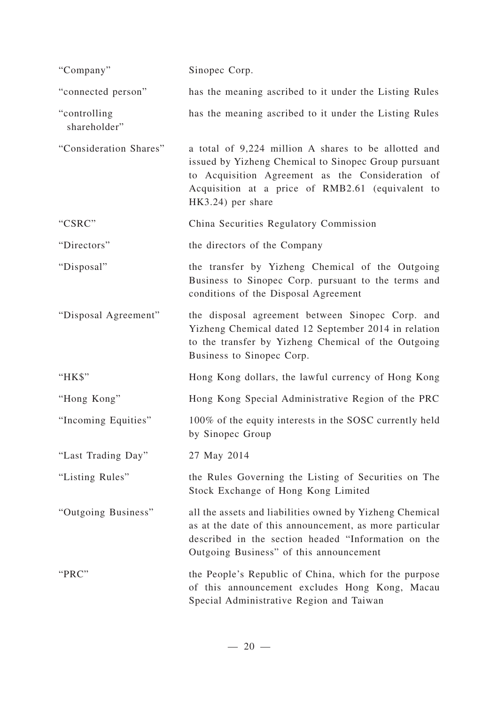| "Company"                    | Sinopec Corp.                                                                                                                                                                                                                             |
|------------------------------|-------------------------------------------------------------------------------------------------------------------------------------------------------------------------------------------------------------------------------------------|
| "connected person"           | has the meaning ascribed to it under the Listing Rules                                                                                                                                                                                    |
| "controlling<br>shareholder" | has the meaning ascribed to it under the Listing Rules                                                                                                                                                                                    |
| "Consideration Shares"       | a total of 9,224 million A shares to be allotted and<br>issued by Yizheng Chemical to Sinopec Group pursuant<br>to Acquisition Agreement as the Consideration of<br>Acquisition at a price of RMB2.61 (equivalent to<br>HK3.24) per share |
| "CSRC"                       | China Securities Regulatory Commission                                                                                                                                                                                                    |
| "Directors"                  | the directors of the Company                                                                                                                                                                                                              |
| "Disposal"                   | the transfer by Yizheng Chemical of the Outgoing<br>Business to Sinopec Corp. pursuant to the terms and<br>conditions of the Disposal Agreement                                                                                           |
| "Disposal Agreement"         | the disposal agreement between Sinopec Corp. and<br>Yizheng Chemical dated 12 September 2014 in relation<br>to the transfer by Yizheng Chemical of the Outgoing<br>Business to Sinopec Corp.                                              |
| "HK\$"                       | Hong Kong dollars, the lawful currency of Hong Kong                                                                                                                                                                                       |
| "Hong Kong"                  | Hong Kong Special Administrative Region of the PRC                                                                                                                                                                                        |
| "Incoming Equities"          | 100% of the equity interests in the SOSC currently held<br>by Sinopec Group                                                                                                                                                               |
| "Last Trading Day"           | 27 May 2014                                                                                                                                                                                                                               |
| "Listing Rules"              | the Rules Governing the Listing of Securities on The<br>Stock Exchange of Hong Kong Limited                                                                                                                                               |
| "Outgoing Business"          | all the assets and liabilities owned by Yizheng Chemical<br>as at the date of this announcement, as more particular<br>described in the section headed "Information on the<br>Outgoing Business" of this announcement                     |
| "PRC"                        | the People's Republic of China, which for the purpose<br>of this announcement excludes Hong Kong, Macau<br>Special Administrative Region and Taiwan                                                                                       |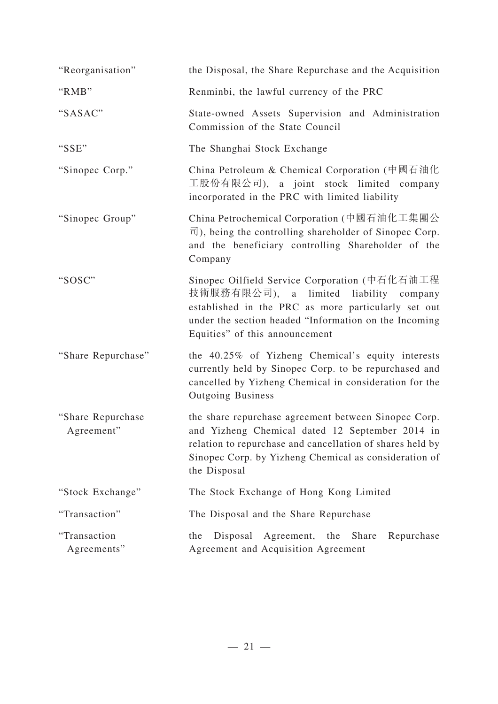| "Reorganisation"                | the Disposal, the Share Repurchase and the Acquisition                                                                                                                                                                                        |
|---------------------------------|-----------------------------------------------------------------------------------------------------------------------------------------------------------------------------------------------------------------------------------------------|
| "RMB"                           | Renminbi, the lawful currency of the PRC                                                                                                                                                                                                      |
| "SASAC"                         | State-owned Assets Supervision and Administration<br>Commission of the State Council                                                                                                                                                          |
| "SSE"                           | The Shanghai Stock Exchange                                                                                                                                                                                                                   |
| "Sinopec Corp."                 | China Petroleum & Chemical Corporation (中國石油化<br>工股份有限公司), a joint stock limited company<br>incorporated in the PRC with limited liability                                                                                                    |
| "Sinopec Group"                 | China Petrochemical Corporation (中國石油化工集團公<br>$\overline{\overline{\mathbb{I}}}$ ), being the controlling shareholder of Sinopec Corp.<br>and the beneficiary controlling Shareholder of the<br>Company                                       |
| "SOSC"                          | Sinopec Oilfield Service Corporation (中石化石油工程<br>技術服務有限公司), a limited liability company<br>established in the PRC as more particularly set out<br>under the section headed "Information on the Incoming<br>Equities" of this announcement     |
| "Share Repurchase"              | the 40.25% of Yizheng Chemical's equity interests<br>currently held by Sinopec Corp. to be repurchased and<br>cancelled by Yizheng Chemical in consideration for the<br><b>Outgoing Business</b>                                              |
| "Share Repurchase<br>Agreement" | the share repurchase agreement between Sinopec Corp.<br>and Yizheng Chemical dated 12 September 2014 in<br>relation to repurchase and cancellation of shares held by<br>Sinopec Corp. by Yizheng Chemical as consideration of<br>the Disposal |
| "Stock Exchange"                | The Stock Exchange of Hong Kong Limited                                                                                                                                                                                                       |
| "Transaction"                   | The Disposal and the Share Repurchase                                                                                                                                                                                                         |
| "Transaction<br>Agreements"     | Disposal<br>Agreement, the<br>Share<br>Repurchase<br>the<br>Agreement and Acquisition Agreement                                                                                                                                               |